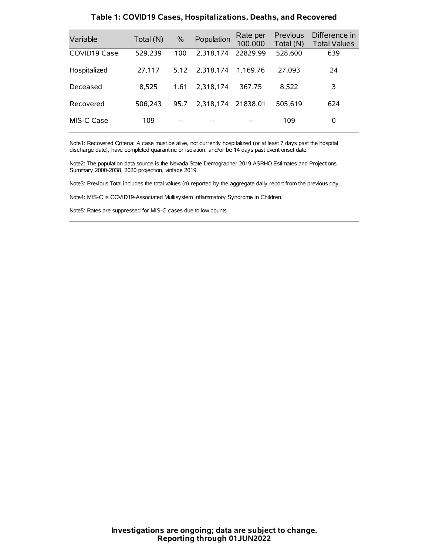| Variable     | Total (N) | $\%$ | Population | Rate per<br>100,000 | Previous<br>Total (N) | Difference in<br><b>Total Values</b> |
|--------------|-----------|------|------------|---------------------|-----------------------|--------------------------------------|
| COVID19 Case | 529,239   | 100  | 2.318.174  | 22829.99            | 528,600               | 639                                  |
| Hospitalized | 27.117    | 5.12 | 2.318.174  | 1.169.76            | 27.093                | 24                                   |
| Deceased     | 8.525     | 1.61 | 2.318.174  | 367.75              | 8.522                 | 3                                    |
| Recovered    | 506.243   | 95.7 | 2.318.174  | 21838.01            | 505.619               | 624                                  |
| MIS-C Case   | 109       | --   |            |                     | 109                   | 0                                    |

#### **Table 1: COVID19 Cases, Hospitalizations, Deaths, and Recovered**

Note1: Recovered Criteria: A case must be alive, not currently hospitalized (or at least 7 days past the hospital discharge date), have completed quarantine or isolation, and/or be 14 days past event onset date.

Note2: The population data source is the Nevada State Demographer 2019 ASRHO Estimates and Projections Summary 2000-2038, 2020 projection, vintage 2019.

Note3: Previous Total includes the total values (n) reported by the aggregate daily report from the previous day.

Note4: MIS-C is COVID19-Associated Multisystem Inflammatory Syndrome in Children.

Note5: Rates are suppressed for MIS-C cases due to low counts.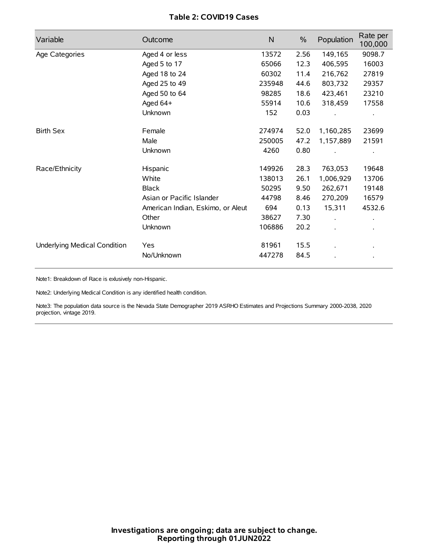# **Table 2: COVID19 Cases**

| Variable                     | Outcome                           | $\mathsf{N}$ | $\%$ | Population | Rate per<br>100,000  |
|------------------------------|-----------------------------------|--------------|------|------------|----------------------|
| Age Categories               | Aged 4 or less                    | 13572        | 2.56 | 149,165    | 9098.7               |
|                              | Aged 5 to 17                      | 65066        | 12.3 | 406,595    | 16003                |
|                              | Aged 18 to 24                     | 60302        | 11.4 | 216,762    | 27819                |
|                              | Aged 25 to 49                     | 235948       | 44.6 | 803,732    | 29357                |
|                              | Aged 50 to 64                     | 98285        | 18.6 | 423,461    | 23210                |
|                              | Aged 64+                          | 55914        | 10.6 | 318,459    | 17558                |
|                              | Unknown                           | 152          | 0.03 |            |                      |
| <b>Birth Sex</b>             | Female                            | 274974       | 52.0 | 1,160,285  | 23699                |
|                              | Male                              | 250005       | 47.2 | 1,157,889  | 21591                |
|                              | Unknown                           | 4260         | 0.80 |            |                      |
| Race/Ethnicity               | Hispanic                          | 149926       | 28.3 | 763,053    | 19648                |
|                              | White                             | 138013       | 26.1 | 1,006,929  | 13706                |
|                              | <b>Black</b>                      | 50295        | 9.50 | 262,671    | 19148                |
|                              | Asian or Pacific Islander         | 44798        | 8.46 | 270,209    | 16579                |
|                              | American Indian, Eskimo, or Aleut | 694          | 0.13 | 15,311     | 4532.6               |
|                              | Other                             | 38627        | 7.30 |            | $\ddot{\phantom{0}}$ |
|                              | Unknown                           | 106886       | 20.2 |            |                      |
| Underlying Medical Condition | Yes                               | 81961        | 15.5 |            |                      |
|                              | No/Unknown                        | 447278       | 84.5 |            |                      |

Note1: Breakdown of Race is exlusively non-Hispanic.

Note2: Underlying Medical Condition is any identified health condition.

Note3: The population data source is the Nevada State Demographer 2019 ASRHO Estimates and Projections Summary 2000-2038, 2020 projection, vintage 2019.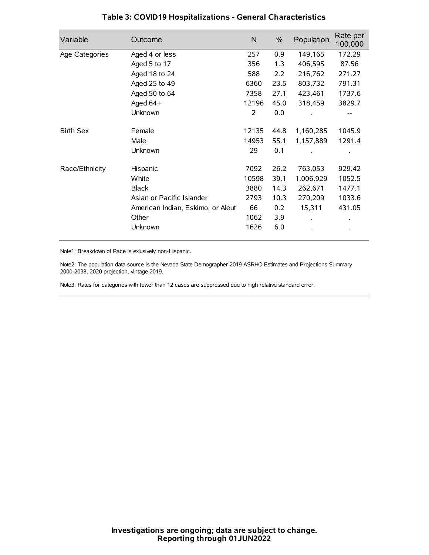| Variable         | Outcome                           | N     | $\%$ | Population | Rate per<br>100,000 |
|------------------|-----------------------------------|-------|------|------------|---------------------|
| Age Categories   | Aged 4 or less                    | 257   | 0.9  | 149,165    | 172.29              |
|                  | Aged 5 to 17                      | 356   | 1.3  | 406,595    | 87.56               |
|                  | Aged 18 to 24                     | 588   | 2.2  | 216,762    | 271.27              |
|                  | Aged 25 to 49                     | 6360  | 23.5 | 803,732    | 791.31              |
|                  | Aged 50 to 64                     | 7358  | 27.1 | 423,461    | 1737.6              |
|                  | Aged 64+                          | 12196 | 45.0 | 318,459    | 3829.7              |
|                  | Unknown                           | 2     | 0.0  |            |                     |
| <b>Birth Sex</b> | Female                            | 12135 | 44.8 | 1,160,285  | 1045.9              |
|                  | Male                              | 14953 | 55.1 | 1,157,889  | 1291.4              |
|                  | Unknown                           | 29    | 0.1  |            |                     |
| Race/Ethnicity   | Hispanic                          | 7092  | 26.2 | 763,053    | 929.42              |
|                  | White                             | 10598 | 39.1 | 1,006,929  | 1052.5              |
|                  | <b>Black</b>                      | 3880  | 14.3 | 262,671    | 1477.1              |
|                  | Asian or Pacific Islander         | 2793  | 10.3 | 270,209    | 1033.6              |
|                  | American Indian, Eskimo, or Aleut | 66    | 0.2  | 15,311     | 431.05              |
|                  | Other                             | 1062  | 3.9  |            |                     |
|                  | Unknown                           | 1626  | 6.0  |            |                     |

# **Table 3: COVID19 Hospitalizations - General Characteristics**

Note1: Breakdown of Race is exlusively non-Hispanic.

Note2: The population data source is the Nevada State Demographer 2019 ASRHO Estimates and Projections Summary 2000-2038, 2020 projection, vintage 2019.

Note3: Rates for categories with fewer than 12 cases are suppressed due to high relative standard error.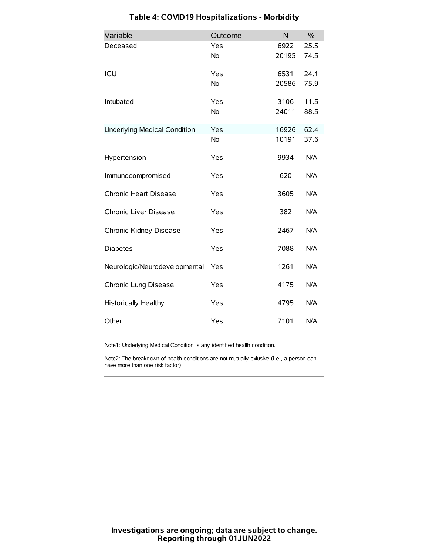| Variable                            | Outcome   | N     | $\%$ |
|-------------------------------------|-----------|-------|------|
| Deceased                            | Yes       | 6922  | 25.5 |
|                                     | <b>No</b> | 20195 | 74.5 |
| ICU                                 | Yes       | 6531  | 24.1 |
|                                     | No        | 20586 | 75.9 |
| Intubated                           | Yes       | 3106  | 11.5 |
|                                     | <b>No</b> | 24011 | 88.5 |
| <b>Underlying Medical Condition</b> | Yes       | 16926 | 62.4 |
|                                     | No        | 10191 | 37.6 |
| Hypertension                        | Yes       | 9934  | N/A  |
| Immunocompromised                   | Yes       | 620   | N/A  |
| Chronic Heart Disease               | Yes       | 3605  | N/A  |
| Chronic Liver Disease               | Yes       | 382   | N/A  |
| Chronic Kidney Disease              | Yes       | 2467  | N/A  |
| <b>Diabetes</b>                     | Yes       | 7088  | N/A  |
| Neurologic/Neurodevelopmental       | Yes       | 1261  | N/A  |
| Chronic Lung Disease                | Yes       | 4175  | N/A  |
| <b>Historically Healthy</b>         | Yes       | 4795  | N/A  |
| Other                               | Yes       | 7101  | N/A  |

# **Table 4: COVID19 Hospitalizations - Morbidity**

Note1: Underlying Medical Condition is any identified health condition.

Note2: The breakdown of health conditions are not mutually exlusive (i.e., a person can have more than one risk factor).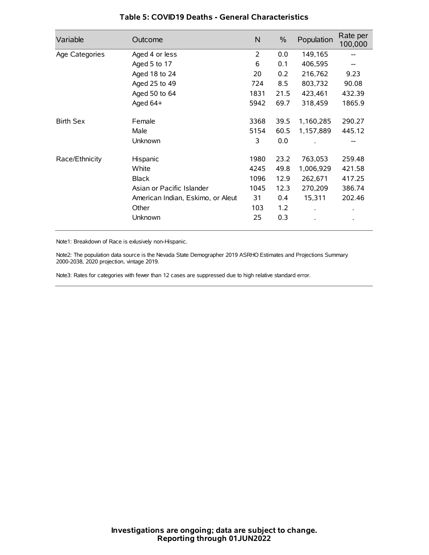| Variable         | Outcome                           | N              | $\%$ | Population | Rate per<br>100,000 |
|------------------|-----------------------------------|----------------|------|------------|---------------------|
| Age Categories   | Aged 4 or less                    | $\overline{2}$ | 0.0  | 149,165    |                     |
|                  | Aged 5 to 17                      | 6              | 0.1  | 406,595    |                     |
|                  | Aged 18 to 24                     | 20             | 0.2  | 216,762    | 9.23                |
|                  | Aged 25 to 49                     | 724            | 8.5  | 803,732    | 90.08               |
|                  | Aged 50 to 64                     | 1831           | 21.5 | 423,461    | 432.39              |
|                  | Aged 64+                          | 5942           | 69.7 | 318,459    | 1865.9              |
| <b>Birth Sex</b> | Female                            | 3368           | 39.5 | 1,160,285  | 290.27              |
|                  | Male                              | 5154           | 60.5 | 1,157,889  | 445.12              |
|                  | Unknown                           | 3              | 0.0  |            | --                  |
| Race/Ethnicity   | Hispanic                          | 1980           | 23.2 | 763,053    | 259.48              |
|                  | White                             | 4245           | 49.8 | 1,006,929  | 421.58              |
|                  | <b>Black</b>                      | 1096           | 12.9 | 262,671    | 417.25              |
|                  | Asian or Pacific Islander         | 1045           | 12.3 | 270,209    | 386.74              |
|                  | American Indian, Eskimo, or Aleut | 31             | 0.4  | 15,311     | 202.46              |
|                  | Other                             | 103            | 1.2  |            | $\bullet$           |
|                  | Unknown                           | 25             | 0.3  |            | $\bullet$           |

## **Table 5: COVID19 Deaths - General Characteristics**

Note1: Breakdown of Race is exlusively non-Hispanic.

Note2: The population data source is the Nevada State Demographer 2019 ASRHO Estimates and Projections Summary 2000-2038, 2020 projection, vintage 2019.

Note3: Rates for categories with fewer than 12 cases are suppressed due to high relative standard error.